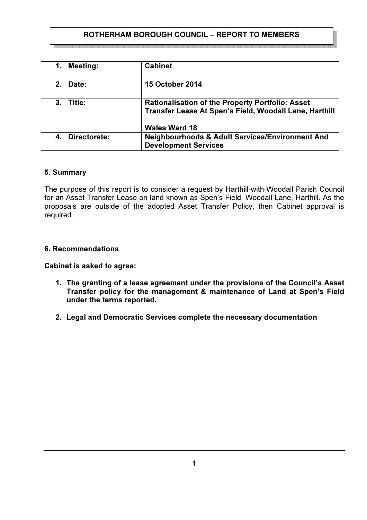# ROTHERHAM BOROUGH COUNCIL – REPORT TO MEMBERS

i sebabat dan berbatan berbatan berbatan berbatan berbatan berbatan berbatan berbatan berbatan berbatan berbatan berbatan berba

| 1. | <b>Meeting:</b> | <b>Cabinet</b>                                                                                                                            |
|----|-----------------|-------------------------------------------------------------------------------------------------------------------------------------------|
| 2. | Date:           | <b>15 October 2014</b>                                                                                                                    |
| 3. | Title:          | <b>Rationalisation of the Property Portfolio: Asset</b><br>Transfer Lease At Spen's Field, Woodall Lane, Harthill<br><b>Wales Ward 18</b> |
| 4. | Directorate:    | <b>Neighbourhoods &amp; Adult Services/Environment And</b><br><b>Development Services</b>                                                 |

## 5. Summary

The purpose of this report is to consider a request by Harthill-with-Woodall Parish Council for an Asset Transfer Lease on land known as Spen's Field, Woodall Lane, Harthill. As the proposals are outside of the adopted Asset Transfer Policy, then Cabinet approval is required.

#### 6. Recommendations

#### Cabinet is asked to agree:

- 1. The granting of a lease agreement under the provisions of the Council's Asset Transfer policy for the management & maintenance of Land at Spen's Field under the terms reported.
- 2. Legal and Democratic Services complete the necessary documentation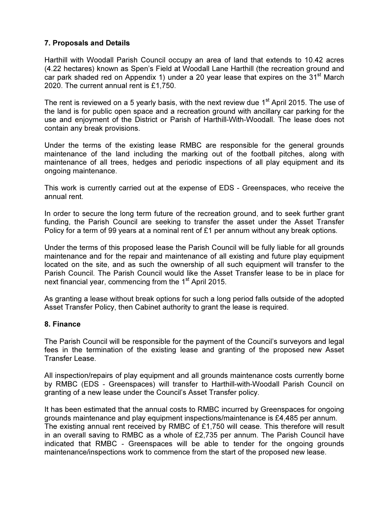# 7. Proposals and Details

Harthill with Woodall Parish Council occupy an area of land that extends to 10.42 acres (4.22 hectares) known as Spen's Field at Woodall Lane Harthill (the recreation ground and car park shaded red on Appendix 1) under a 20 year lease that expires on the  $31<sup>st</sup>$  March 2020. The current annual rent is £1,750.

The rent is reviewed on a 5 yearly basis, with the next review due  $1<sup>st</sup>$  April 2015. The use of the land is for public open space and a recreation ground with ancillary car parking for the use and enjoyment of the District or Parish of Harthill-With-Woodall. The lease does not contain any break provisions.

Under the terms of the existing lease RMBC are responsible for the general grounds maintenance of the land including the marking out of the football pitches, along with maintenance of all trees, hedges and periodic inspections of all play equipment and its ongoing maintenance.

This work is currently carried out at the expense of EDS - Greenspaces, who receive the annual rent.

In order to secure the long term future of the recreation ground, and to seek further grant funding, the Parish Council are seeking to transfer the asset under the Asset Transfer Policy for a term of 99 years at a nominal rent of £1 per annum without any break options.

Under the terms of this proposed lease the Parish Council will be fully liable for all grounds maintenance and for the repair and maintenance of all existing and future play equipment located on the site, and as such the ownership of all such equipment will transfer to the Parish Council. The Parish Council would like the Asset Transfer lease to be in place for next financial year, commencing from the  $1<sup>st</sup>$  April 2015.

As granting a lease without break options for such a long period falls outside of the adopted Asset Transfer Policy, then Cabinet authority to grant the lease is required.

#### 8. Finance

The Parish Council will be responsible for the payment of the Council's surveyors and legal fees in the termination of the existing lease and granting of the proposed new Asset Transfer Lease.

All inspection/repairs of play equipment and all grounds maintenance costs currently borne by RMBC (EDS - Greenspaces) will transfer to Harthill-with-Woodall Parish Council on granting of a new lease under the Council's Asset Transfer policy.

It has been estimated that the annual costs to RMBC incurred by Greenspaces for ongoing grounds maintenance and play equipment inspections/maintenance is £4,485 per annum. The existing annual rent received by RMBC of £1,750 will cease. This therefore will result in an overall saving to RMBC as a whole of £2,735 per annum. The Parish Council have indicated that RMBC - Greenspaces will be able to tender for the ongoing grounds maintenance/inspections work to commence from the start of the proposed new lease.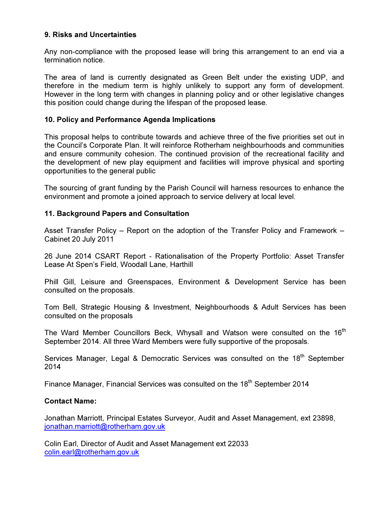## 9. Risks and Uncertainties

Any non-compliance with the proposed lease will bring this arrangement to an end via a termination notice.

The area of land is currently designated as Green Belt under the existing UDP, and therefore in the medium term is highly unlikely to support any form of development. However in the long term with changes in planning policy and or other legislative changes this position could change during the lifespan of the proposed lease.

## 10. Policy and Performance Agenda Implications

This proposal helps to contribute towards and achieve three of the five priorities set out in the Council's Corporate Plan. It will reinforce Rotherham neighbourhoods and communities and ensure community cohesion. The continued provision of the recreational facility and the development of new play equipment and facilities will improve physical and sporting opportunities to the general public

The sourcing of grant funding by the Parish Council will harness resources to enhance the environment and promote a joined approach to service delivery at local level.

## 11. Background Papers and Consultation

Asset Transfer Policy – Report on the adoption of the Transfer Policy and Framework – Cabinet 20 July 2011

26 June 2014 CSART Report - Rationalisation of the Property Portfolio: Asset Transfer Lease At Spen's Field, Woodall Lane, Harthill

Phill Gill, Leisure and Greenspaces, Environment & Development Service has been consulted on the proposals.

Tom Bell, Strategic Housing & Investment, Neighbourhoods & Adult Services has been consulted on the proposals

The Ward Member Councillors Beck, Whysall and Watson were consulted on the 16<sup>th</sup> September 2014. All three Ward Members were fully supportive of the proposals.

Services Manager, Legal & Democratic Services was consulted on the 18<sup>th</sup> September 2014

Finance Manager, Financial Services was consulted on the 18<sup>th</sup> September 2014

#### Contact Name:

Jonathan Marriott, Principal Estates Surveyor, Audit and Asset Management, ext 23898, jonathan.marriott@rotherham.gov.uk

Colin Earl, Director of Audit and Asset Management ext 22033 colin.earl@rotherham.gov.uk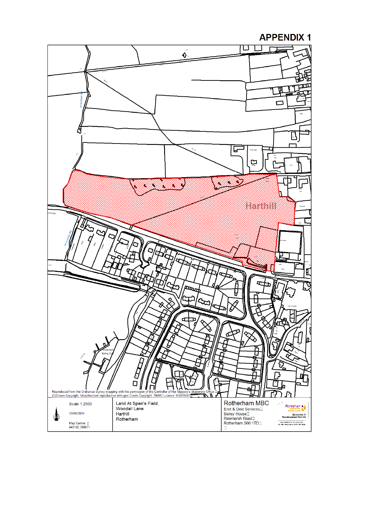